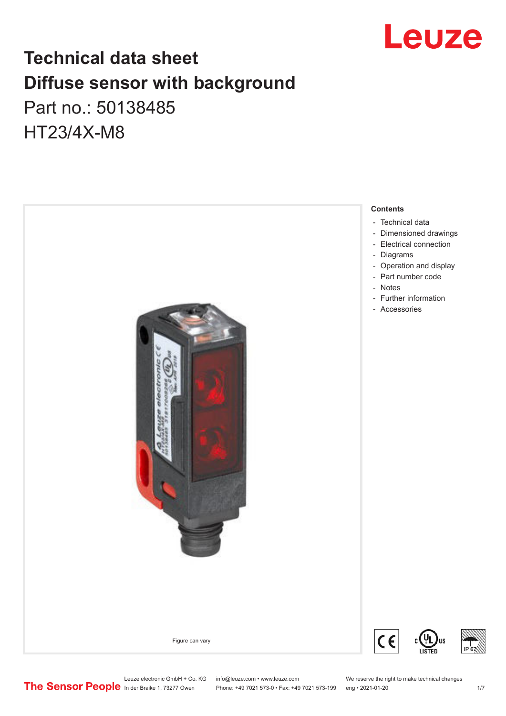

## **Technical data sheet Diffuse sensor with background**  Part no.: 50138485 HT23/4X-M8

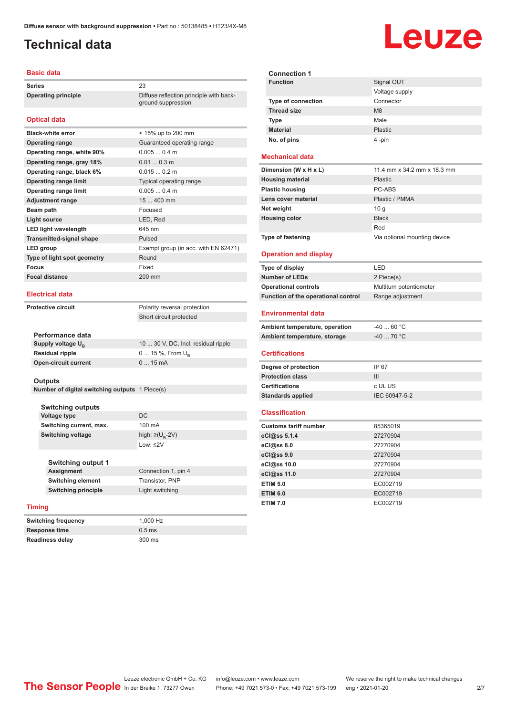### <span id="page-1-0"></span>**Technical data**

#### **Basic data**

**Series** 23 **Operating principle** Diffuse reflection principle with back-

#### **Optical data**

| <b>Black-white error</b>        | < 15% up to 200 mm                   |
|---------------------------------|--------------------------------------|
| <b>Operating range</b>          | Guaranteed operating range           |
| Operating range, white 90%      | 0.0050.4 m                           |
| Operating range, gray 18%       | $0.010.3$ m                          |
| Operating range, black 6%       | 0.0150.2 m                           |
| <b>Operating range limit</b>    | Typical operating range              |
| <b>Operating range limit</b>    | $0.0050.4$ m                         |
| <b>Adjustment range</b>         | 15  400 mm                           |
| Beam path                       | Focused                              |
| Light source                    | LED, Red                             |
| <b>LED light wavelength</b>     | 645 nm                               |
| <b>Transmitted-signal shape</b> | Pulsed                               |
| <b>LED</b> group                | Exempt group (in acc. with EN 62471) |
| Type of light spot geometry     | Round                                |
| <b>Focus</b>                    | Fixed                                |
| <b>Focal distance</b>           | $200$ mm                             |
|                                 |                                      |

#### **Electrical data**

**Protective circuit** Polarity reversal protection

Short circuit protected

ground suppression

| Performance data              |                                     |
|-------------------------------|-------------------------------------|
| Supply voltage U <sub>n</sub> | 10  30 V, DC, Incl. residual ripple |
| Residual ripple               | $0 15 \%$ , From $U_{p}$            |
| Open-circuit current          | $015$ mA                            |
|                               |                                     |

#### **Outputs**

**Number of digital switching outputs** 1 Piece(s)

| <b>Switching outputs</b> |                                   |
|--------------------------|-----------------------------------|
| Voltage type             | DC.                               |
| Switching current, max.  | 100 mA                            |
| <b>Switching voltage</b> | high: $\geq$ (U <sub>B</sub> -2V) |
|                          | Low: ≤2 $V$                       |
|                          |                                   |

| Switching output 1         |                     |
|----------------------------|---------------------|
| <b>Assignment</b>          | Connection 1, pin 4 |
| <b>Switching element</b>   | Transistor, PNP     |
| <b>Switching principle</b> | Light switching     |
|                            |                     |

#### **Timing**

**Switching frequency** 1,000 Hz **Response time** 0.5 ms **Readiness delay** 300 ms

**Connection 1 Signal OUT** Voltage supply **Type of connection** Connector **Thread size** M8 **Type Male Material** Plastic **No. of pins** 4 -pin

#### **Mechanical data**

| Dimension (W x H x L)    | 11.4 mm x 34.2 mm x 18.3 mm  |
|--------------------------|------------------------------|
| <b>Housing material</b>  | <b>Plastic</b>               |
| <b>Plastic housing</b>   | PC-ABS                       |
| Lens cover material      | Plastic / PMMA               |
| Net weight               | 10q                          |
| <b>Housing color</b>     | <b>Black</b>                 |
|                          | Red                          |
| <b>Type of fastening</b> | Via optional mounting device |

#### **Operation and display**

| Type of display                     | I FD.                   |
|-------------------------------------|-------------------------|
| <b>Number of LEDs</b>               | 2 Piece(s)              |
| <b>Operational controls</b>         | Multiturn potentiometer |
| Function of the operational control | Range adjustment        |

#### **Environmental data**

| Ambient temperature, operation | -40  60 °C |
|--------------------------------|------------|
| Ambient temperature, storage   | -40  70 °C |

#### **Certifications**

| Degree of protection     | IP 67         |
|--------------------------|---------------|
| <b>Protection class</b>  | Ш             |
| <b>Certifications</b>    | c UL US       |
| <b>Standards applied</b> | IEC 60947-5-2 |

#### **Classification**

| <b>Customs tariff number</b> | 85365019 |
|------------------------------|----------|
| eCl@ss 5.1.4                 | 27270904 |
| eCl@ss 8.0                   | 27270904 |
| eCl@ss 9.0                   | 27270904 |
| eCl@ss 10.0                  | 27270904 |
| eCl@ss 11.0                  | 27270904 |
| <b>ETIM 5.0</b>              | EC002719 |
| <b>ETIM 6.0</b>              | EC002719 |
| <b>ETIM 7.0</b>              | EC002719 |

# Leuze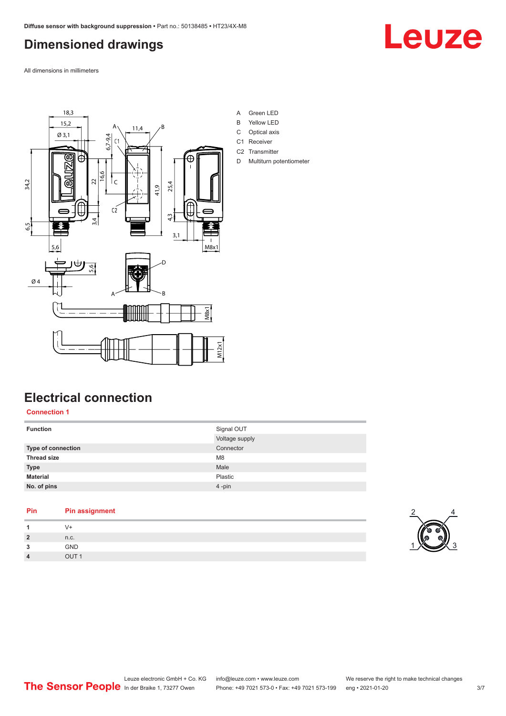### <span id="page-2-0"></span>**Dimensioned drawings**

Leuze

All dimensions in millimeters



### **Electrical connection**

**Connection 1**

| <b>Function</b>           | Signal OUT<br>Voltage supply |
|---------------------------|------------------------------|
| <b>Type of connection</b> | Connector                    |
| <b>Thread size</b>        | M <sub>8</sub>               |
| <b>Type</b>               | Male                         |
| <b>Material</b>           | Plastic                      |
| No. of pins               | 4-pin                        |

| <b>Pin assignment</b> |
|-----------------------|
| V+                    |
| n.c.                  |
| <b>GND</b>            |
| OUT <sub>1</sub>      |
|                       |

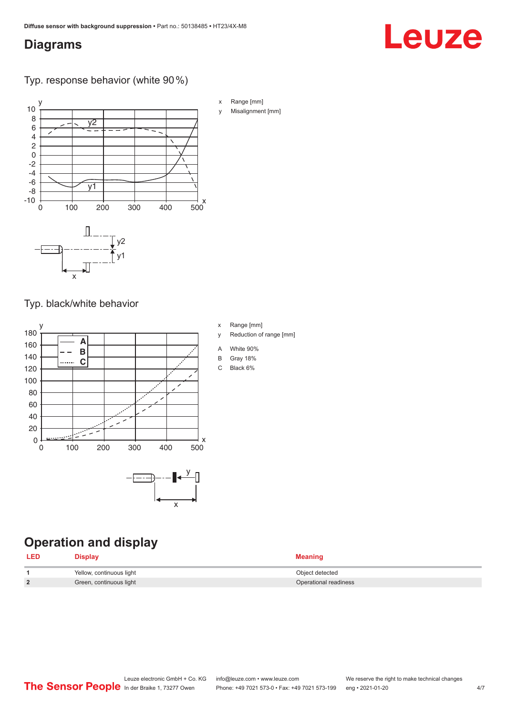### <span id="page-3-0"></span>**Diagrams**

#### Typ. response behavior (white 90 %)



Typ. black/white behavior



**Operation and display**

| <b>LED</b> | Display                  | <b>Meaning</b>        |
|------------|--------------------------|-----------------------|
|            | Yellow, continuous light | Object detected       |
|            | Green, continuous light  | Operational readiness |

x Range [mm]

- y Reduction of range [mm]
- A White 90%
- B Gray 18%
- C Black 6%

Leuze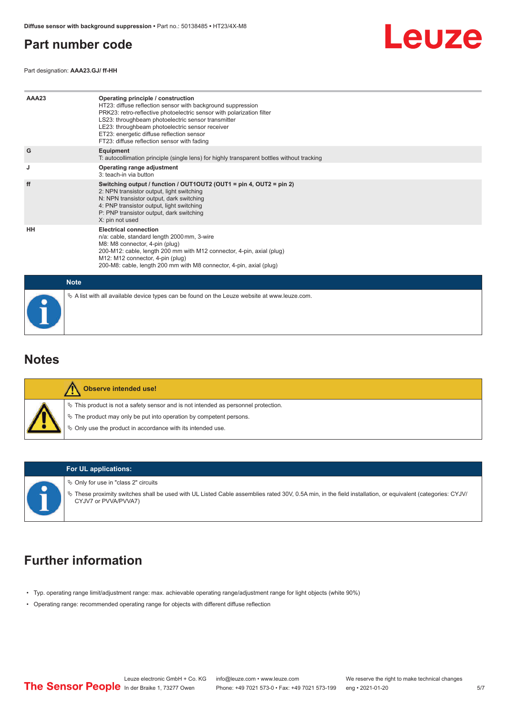### <span id="page-4-0"></span>**Part number code**

Part designation: **AAA23.GJ/ ff-HH**



| AAA23       | Operating principle / construction<br>HT23: diffuse reflection sensor with background suppression<br>PRK23: retro-reflective photoelectric sensor with polarization filter<br>LS23: throughbeam photoelectric sensor transmitter<br>LE23: throughbeam photoelectric sensor receiver<br>ET23: energetic diffuse reflection sensor<br>FT23: diffuse reflection sensor with fading |  |  |  |  |  |
|-------------|---------------------------------------------------------------------------------------------------------------------------------------------------------------------------------------------------------------------------------------------------------------------------------------------------------------------------------------------------------------------------------|--|--|--|--|--|
| G           | Equipment<br>T: autocollimation principle (single lens) for highly transparent bottles without tracking                                                                                                                                                                                                                                                                         |  |  |  |  |  |
| J           | Operating range adjustment<br>3: teach-in via button                                                                                                                                                                                                                                                                                                                            |  |  |  |  |  |
| ff          | Switching output / function / OUT1OUT2 (OUT1 = pin 4, OUT2 = pin 2)<br>2: NPN transistor output, light switching<br>N: NPN transistor output, dark switching<br>4: PNP transistor output, light switching<br>P: PNP transistor output, dark switching<br>X: pin not used                                                                                                        |  |  |  |  |  |
| HH          | <b>Electrical connection</b><br>n/a: cable, standard length 2000 mm, 3-wire<br>M8: M8 connector, 4-pin (plug)<br>200-M12: cable, length 200 mm with M12 connector, 4-pin, axial (plug)<br>M12: M12 connector, 4-pin (plug)<br>200-M8: cable, length 200 mm with M8 connector, 4-pin, axial (plug)                                                                               |  |  |  |  |  |
| <b>Note</b> |                                                                                                                                                                                                                                                                                                                                                                                 |  |  |  |  |  |
|             | $\&$ A list with all available device types can be found on the Leuze website at www.leuze.com.                                                                                                                                                                                                                                                                                 |  |  |  |  |  |

#### **Notes**

| Observe intended use!                                                                                                                                                                                                         |
|-------------------------------------------------------------------------------------------------------------------------------------------------------------------------------------------------------------------------------|
| $\%$ This product is not a safety sensor and is not intended as personnel protection.<br>$\%$ The product may only be put into operation by competent persons.<br>♦ Only use the product in accordance with its intended use. |



#### **For UL applications:**

 $\%$  Only for use in "class 2" circuits

ª These proximity switches shall be used with UL Listed Cable assemblies rated 30V, 0.5A min, in the field installation, or equivalent (categories: CYJV/ CYJV7 or PVVA/PVVA7)

### **Further information**

- Typ. operating range limit/adjustment range: max. achievable operating range/adjustment range for light objects (white 90%)
- Operating range: recommended operating range for objects with different diffuse reflection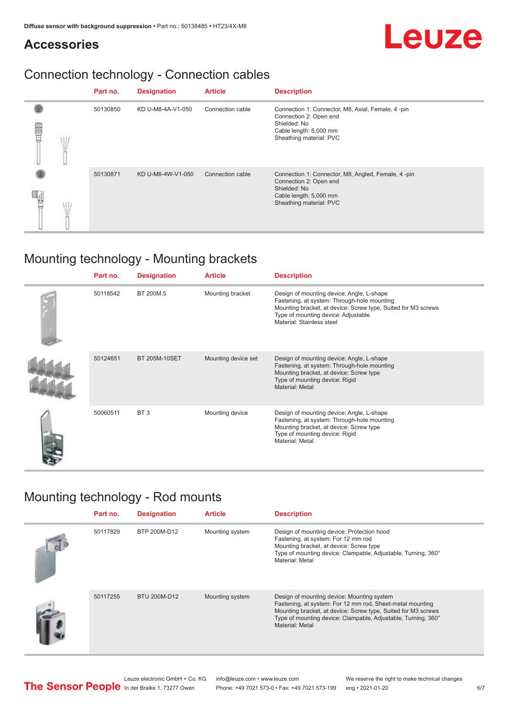### **Accessories**

### Connection technology - Connection cables

|    | Part no. | <b>Designation</b> | <b>Article</b>   | <b>Description</b>                                                                                                                                |
|----|----------|--------------------|------------------|---------------------------------------------------------------------------------------------------------------------------------------------------|
| ΛĦ | 50130850 | KD U-M8-4A-V1-050  | Connection cable | Connection 1: Connector, M8, Axial, Female, 4 -pin<br>Connection 2: Open end<br>Shielded: No<br>Cable length: 5,000 mm<br>Sheathing material: PVC |
|    | 50130871 | KD U-M8-4W-V1-050  | Connection cable | Connection 1: Connector, M8, Angled, Female, 4-pin<br>Connection 2: Open end<br>Shielded: No<br>Cable length: 5,000 mm<br>Sheathing material: PVC |

### Mounting technology - Mounting brackets

| Part no. | <b>Designation</b>   | <b>Article</b>      | <b>Description</b>                                                                                                                                                                                                            |
|----------|----------------------|---------------------|-------------------------------------------------------------------------------------------------------------------------------------------------------------------------------------------------------------------------------|
| 50118542 | BT 200M.5            | Mounting bracket    | Design of mounting device: Angle, L-shape<br>Fastening, at system: Through-hole mounting<br>Mounting bracket, at device: Screw type, Suited for M3 screws<br>Type of mounting device: Adjustable<br>Material: Stainless steel |
| 50124651 | <b>BT 205M-10SET</b> | Mounting device set | Design of mounting device: Angle, L-shape<br>Fastening, at system: Through-hole mounting<br>Mounting bracket, at device: Screw type<br>Type of mounting device: Rigid<br>Material: Metal                                      |
| 50060511 | BT <sub>3</sub>      | Mounting device     | Design of mounting device: Angle, L-shape<br>Fastening, at system: Through-hole mounting<br>Mounting bracket, at device: Screw type<br>Type of mounting device: Rigid<br>Material: Metal                                      |

### Mounting technology - Rod mounts

| Part no. | <b>Designation</b> | <b>Article</b>  | <b>Description</b>                                                                                                                                                                                                                                           |
|----------|--------------------|-----------------|--------------------------------------------------------------------------------------------------------------------------------------------------------------------------------------------------------------------------------------------------------------|
| 50117829 | BTP 200M-D12       | Mounting system | Design of mounting device: Protection hood<br>Fastening, at system: For 12 mm rod<br>Mounting bracket, at device: Screw type<br>Type of mounting device: Clampable, Adjustable, Turning, 360°<br>Material: Metal                                             |
| 50117255 | BTU 200M-D12       | Mounting system | Design of mounting device: Mounting system<br>Fastening, at system: For 12 mm rod, Sheet-metal mounting<br>Mounting bracket, at device: Screw type, Suited for M3 screws<br>Type of mounting device: Clampable, Adjustable, Turning, 360°<br>Material: Metal |



Leuze